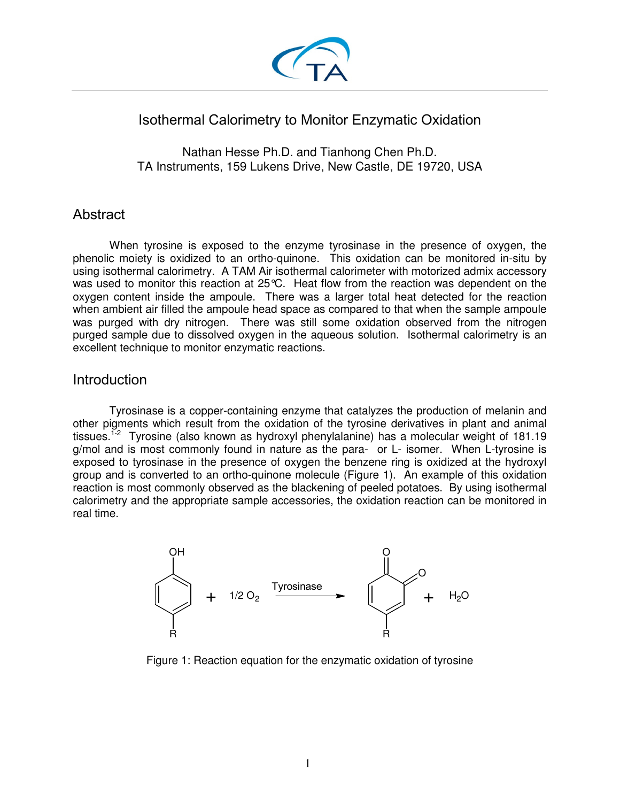

# Isothermal Calorimetry to Monitor Enzymatic Oxidation

Nathan Hesse Ph.D. and Tianhong Chen Ph.D. TA Instruments, 159 Lukens Drive, New Castle, DE 19720, USA

## Abstract

When tyrosine is exposed to the enzyme tyrosinase in the presence of oxygen, the phenolic moiety is oxidized to an ortho-quinone. This oxidation can be monitored in-situ by using isothermal calorimetry. A TAM Air isothermal calorimeter with motorized admix accessory was used to monitor this reaction at 25°C. Heat flow from the reaction was dependent on the oxygen content inside the ampoule. There was a larger total heat detected for the reaction when ambient air filled the ampoule head space as compared to that when the sample ampoule was purged with dry nitrogen. There was still some oxidation observed from the nitrogen purged sample due to dissolved oxygen in the aqueous solution. Isothermal calorimetry is an excellent technique to monitor enzymatic reactions.

### **Introduction**

 Tyrosinase is a copper-containing enzyme that catalyzes the production of melanin and other pigments which result from the oxidation of the tyrosine derivatives in plant and animal tissues.<sup>1-2</sup> Tyrosine (also known as hydroxyl phenylalanine) has a molecular weight of 181.19 g/mol and is most commonly found in nature as the para- or L- isomer. When L-tyrosine is exposed to tyrosinase in the presence of oxygen the benzene ring is oxidized at the hydroxyl group and is converted to an ortho-quinone molecule (Figure 1). An example of this oxidation reaction is most commonly observed as the blackening of peeled potatoes. By using isothermal calorimetry and the appropriate sample accessories, the oxidation reaction can be monitored in real time.



Figure 1: Reaction equation for the enzymatic oxidation of tyrosine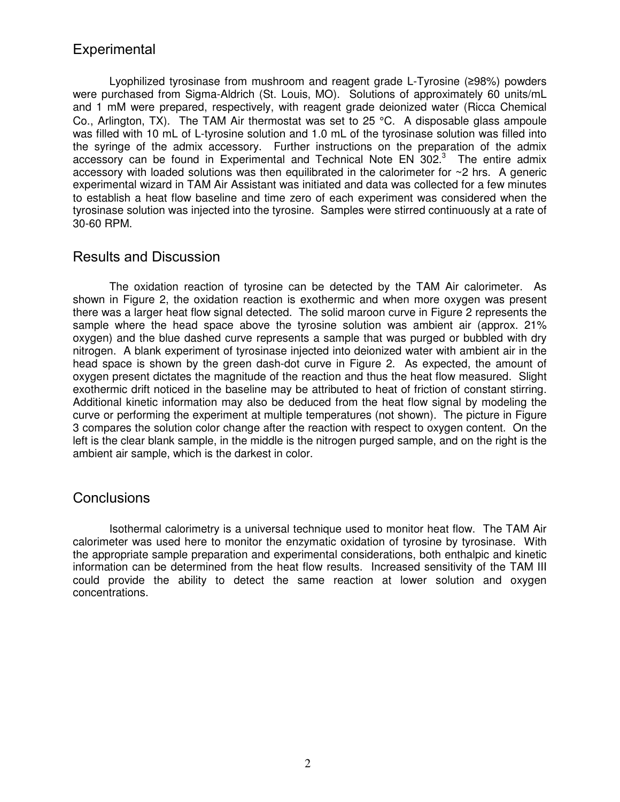# **Experimental**

Lyophilized tyrosinase from mushroom and reagent grade L-Tyrosine (≥98%) powders were purchased from Sigma-Aldrich (St. Louis, MO). Solutions of approximately 60 units/mL and 1 mM were prepared, respectively, with reagent grade deionized water (Ricca Chemical Co., Arlington, TX). The TAM Air thermostat was set to 25 °C. A disposable glass ampoule was filled with 10 mL of L-tyrosine solution and 1.0 mL of the tyrosinase solution was filled into the syringe of the admix accessory. Further instructions on the preparation of the admix accessory can be found in Experimental and Technical Note EN 302. $3$  The entire admix accessory with loaded solutions was then equilibrated in the calorimeter for  $\sim$ 2 hrs. A generic experimental wizard in TAM Air Assistant was initiated and data was collected for a few minutes to establish a heat flow baseline and time zero of each experiment was considered when the tyrosinase solution was injected into the tyrosine. Samples were stirred continuously at a rate of 30-60 RPM.

#### Results and Discussion

The oxidation reaction of tyrosine can be detected by the TAM Air calorimeter. As shown in Figure 2, the oxidation reaction is exothermic and when more oxygen was present there was a larger heat flow signal detected. The solid maroon curve in Figure 2 represents the sample where the head space above the tyrosine solution was ambient air (approx. 21% oxygen) and the blue dashed curve represents a sample that was purged or bubbled with dry nitrogen. A blank experiment of tyrosinase injected into deionized water with ambient air in the head space is shown by the green dash-dot curve in Figure 2. As expected, the amount of oxygen present dictates the magnitude of the reaction and thus the heat flow measured. Slight exothermic drift noticed in the baseline may be attributed to heat of friction of constant stirring. Additional kinetic information may also be deduced from the heat flow signal by modeling the curve or performing the experiment at multiple temperatures (not shown). The picture in Figure 3 compares the solution color change after the reaction with respect to oxygen content. On the left is the clear blank sample, in the middle is the nitrogen purged sample, and on the right is the ambient air sample, which is the darkest in color.

#### **Conclusions**

Isothermal calorimetry is a universal technique used to monitor heat flow. The TAM Air calorimeter was used here to monitor the enzymatic oxidation of tyrosine by tyrosinase. With the appropriate sample preparation and experimental considerations, both enthalpic and kinetic information can be determined from the heat flow results. Increased sensitivity of the TAM III could provide the ability to detect the same reaction at lower solution and oxygen concentrations.